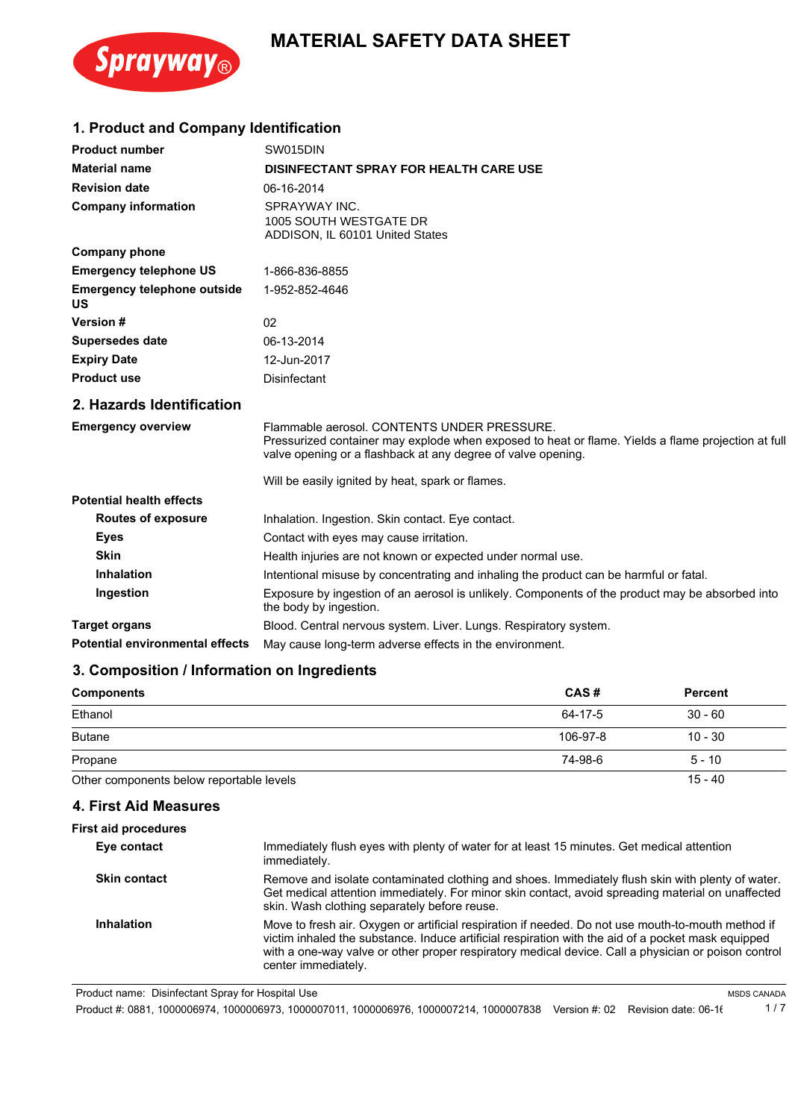

## **MATERIAL SAFETY DATA SHEET**

## **1. Product and Company Identification**

| <b>Product number</b>                           | SW015DIN                                                                                                                                                                                                          |
|-------------------------------------------------|-------------------------------------------------------------------------------------------------------------------------------------------------------------------------------------------------------------------|
| <b>Material name</b>                            | <b>DISINFECTANT SPRAY FOR HEALTH CARE USE</b>                                                                                                                                                                     |
| <b>Revision date</b>                            | 06-16-2014                                                                                                                                                                                                        |
| <b>Company information</b>                      | SPRAYWAY INC.<br>1005 SOUTH WESTGATE DR<br>ADDISON, IL 60101 United States                                                                                                                                        |
| <b>Company phone</b>                            |                                                                                                                                                                                                                   |
| <b>Emergency telephone US</b>                   | 1-866-836-8855                                                                                                                                                                                                    |
| <b>Emergency telephone outside</b><br><b>US</b> | 1-952-852-4646                                                                                                                                                                                                    |
| Version #                                       | 02                                                                                                                                                                                                                |
| <b>Supersedes date</b>                          | 06-13-2014                                                                                                                                                                                                        |
| <b>Expiry Date</b>                              | 12-Jun-2017                                                                                                                                                                                                       |
| <b>Product use</b>                              | <b>Disinfectant</b>                                                                                                                                                                                               |
| 2. Hazards Identification                       |                                                                                                                                                                                                                   |
| <b>Emergency overview</b>                       | Flammable aerosol. CONTENTS UNDER PRESSURE.<br>Pressurized container may explode when exposed to heat or flame. Yields a flame projection at full<br>valve opening or a flashback at any degree of valve opening. |
|                                                 | Will be easily ignited by heat, spark or flames.                                                                                                                                                                  |
| <b>Potential health effects</b>                 |                                                                                                                                                                                                                   |
| <b>Routes of exposure</b>                       | Inhalation. Ingestion. Skin contact. Eye contact.                                                                                                                                                                 |
| <b>Eyes</b>                                     | Contact with eyes may cause irritation.                                                                                                                                                                           |
| <b>Skin</b>                                     | Health injuries are not known or expected under normal use.                                                                                                                                                       |
| <b>Inhalation</b>                               | Intentional misuse by concentrating and inhaling the product can be harmful or fatal.                                                                                                                             |
| Ingestion                                       | Exposure by ingestion of an aerosol is unlikely. Components of the product may be absorbed into<br>the body by ingestion.                                                                                         |
| <b>Target organs</b>                            | Blood. Central nervous system. Liver. Lungs. Respiratory system.                                                                                                                                                  |
| <b>Potential environmental effects</b>          | May cause long-term adverse effects in the environment.                                                                                                                                                           |

## **3. Composition / Information on Ingredients**

| <b>Components</b>                        | CAS#     | <b>Percent</b> |
|------------------------------------------|----------|----------------|
| Ethanol                                  | 64-17-5  | $30 - 60$      |
| <b>Butane</b>                            | 106-97-8 | $10 - 30$      |
| Propane                                  | 74-98-6  | $5 - 10$       |
| Other components below reportable levels |          | $15 - 40$      |

#### **4. First Aid Measures**

| <b>First aid procedures</b> |                                                                                                                                                                                                                                                                                                                                        |
|-----------------------------|----------------------------------------------------------------------------------------------------------------------------------------------------------------------------------------------------------------------------------------------------------------------------------------------------------------------------------------|
| Eye contact                 | Immediately flush eyes with plenty of water for at least 15 minutes. Get medical attention<br>immediately.                                                                                                                                                                                                                             |
| <b>Skin contact</b>         | Remove and isolate contaminated clothing and shoes. Immediately flush skin with plenty of water.<br>Get medical attention immediately. For minor skin contact, avoid spreading material on unaffected<br>skin. Wash clothing separately before reuse.                                                                                  |
| <b>Inhalation</b>           | Move to fresh air. Oxygen or artificial respiration if needed. Do not use mouth-to-mouth method if<br>victim inhaled the substance. Induce artificial respiration with the aid of a pocket mask equipped<br>with a one-way valve or other proper respiratory medical device. Call a physician or poison control<br>center immediately. |

Product name: Disinfectant Spray for Hospital Use

Product #: 0881, 1000006974, 1000006973, 1000007011, 1000006976, 1000007214, 1000007838 Version #: 02 Revision date: 06-16 1 / 7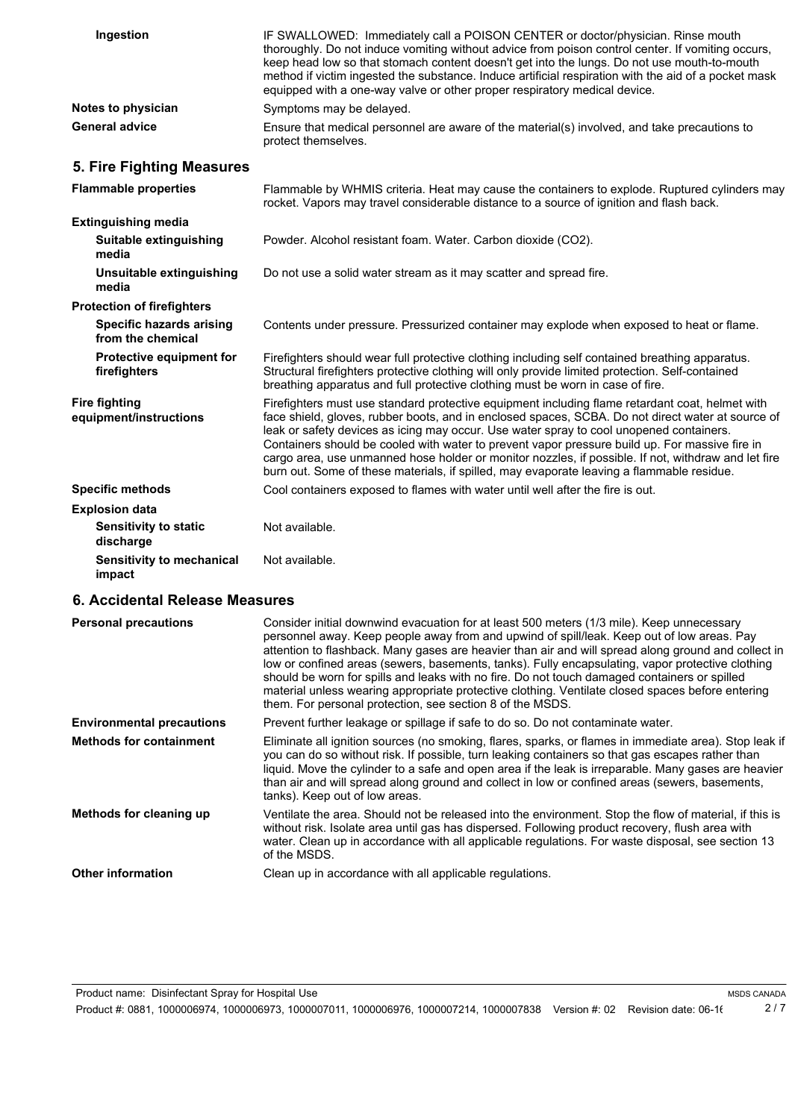| Ingestion                                            | IF SWALLOWED: Immediately call a POISON CENTER or doctor/physician. Rinse mouth<br>thoroughly. Do not induce vomiting without advice from poison control center. If vomiting occurs,<br>keep head low so that stomach content doesn't get into the lungs. Do not use mouth-to-mouth<br>method if victim ingested the substance. Induce artificial respiration with the aid of a pocket mask<br>equipped with a one-way valve or other proper respiratory medical device.                                                                                                                                                                                            |  |
|------------------------------------------------------|---------------------------------------------------------------------------------------------------------------------------------------------------------------------------------------------------------------------------------------------------------------------------------------------------------------------------------------------------------------------------------------------------------------------------------------------------------------------------------------------------------------------------------------------------------------------------------------------------------------------------------------------------------------------|--|
| Notes to physician                                   | Symptoms may be delayed.                                                                                                                                                                                                                                                                                                                                                                                                                                                                                                                                                                                                                                            |  |
| <b>General advice</b>                                | Ensure that medical personnel are aware of the material(s) involved, and take precautions to<br>protect themselves.                                                                                                                                                                                                                                                                                                                                                                                                                                                                                                                                                 |  |
| 5. Fire Fighting Measures                            |                                                                                                                                                                                                                                                                                                                                                                                                                                                                                                                                                                                                                                                                     |  |
| <b>Flammable properties</b>                          | Flammable by WHMIS criteria. Heat may cause the containers to explode. Ruptured cylinders may<br>rocket. Vapors may travel considerable distance to a source of ignition and flash back.                                                                                                                                                                                                                                                                                                                                                                                                                                                                            |  |
| <b>Extinguishing media</b>                           |                                                                                                                                                                                                                                                                                                                                                                                                                                                                                                                                                                                                                                                                     |  |
| Suitable extinguishing<br>media                      | Powder. Alcohol resistant foam. Water. Carbon dioxide (CO2).                                                                                                                                                                                                                                                                                                                                                                                                                                                                                                                                                                                                        |  |
| Unsuitable extinguishing<br>media                    | Do not use a solid water stream as it may scatter and spread fire.                                                                                                                                                                                                                                                                                                                                                                                                                                                                                                                                                                                                  |  |
| <b>Protection of firefighters</b>                    |                                                                                                                                                                                                                                                                                                                                                                                                                                                                                                                                                                                                                                                                     |  |
| <b>Specific hazards arising</b><br>from the chemical | Contents under pressure. Pressurized container may explode when exposed to heat or flame.                                                                                                                                                                                                                                                                                                                                                                                                                                                                                                                                                                           |  |
| <b>Protective equipment for</b><br>firefighters      | Firefighters should wear full protective clothing including self contained breathing apparatus.<br>Structural firefighters protective clothing will only provide limited protection. Self-contained<br>breathing apparatus and full protective clothing must be worn in case of fire.                                                                                                                                                                                                                                                                                                                                                                               |  |
| <b>Fire fighting</b><br>equipment/instructions       | Firefighters must use standard protective equipment including flame retardant coat, helmet with<br>face shield, gloves, rubber boots, and in enclosed spaces, SCBA. Do not direct water at source of<br>leak or safety devices as icing may occur. Use water spray to cool unopened containers.<br>Containers should be cooled with water to prevent vapor pressure build up. For massive fire in<br>cargo area, use unmanned hose holder or monitor nozzles, if possible. If not, withdraw and let fire<br>burn out. Some of these materials, if spilled, may evaporate leaving a flammable residue.                                                               |  |
| <b>Specific methods</b>                              | Cool containers exposed to flames with water until well after the fire is out.                                                                                                                                                                                                                                                                                                                                                                                                                                                                                                                                                                                      |  |
| <b>Explosion data</b>                                |                                                                                                                                                                                                                                                                                                                                                                                                                                                                                                                                                                                                                                                                     |  |
| <b>Sensitivity to static</b><br>discharge            | Not available.                                                                                                                                                                                                                                                                                                                                                                                                                                                                                                                                                                                                                                                      |  |
| Sensitivity to mechanical<br>impact                  | Not available.                                                                                                                                                                                                                                                                                                                                                                                                                                                                                                                                                                                                                                                      |  |
| 6. Accidental Release Measures                       |                                                                                                                                                                                                                                                                                                                                                                                                                                                                                                                                                                                                                                                                     |  |
| <b>Personal precautions</b>                          | Consider initial downwind evacuation for at least 500 meters (1/3 mile). Keep unnecessary<br>personnel away. Keep people away from and upwind of spill/leak. Keep out of low areas. Pay<br>attention to flashback. Many gases are heavier than air and will spread along ground and collect in<br>low or confined areas (sewers, basements, tanks). Fully encapsulating, vapor protective clothing<br>should be worn for spills and leaks with no fire. Do not touch damaged containers or spilled<br>material unless wearing appropriate protective clothing. Ventilate closed spaces before entering<br>them. For personal protection, see section 8 of the MSDS. |  |
| <b>Environmental precautions</b>                     | Prevent further leakage or spillage if safe to do so. Do not contaminate water.                                                                                                                                                                                                                                                                                                                                                                                                                                                                                                                                                                                     |  |
| <b>Methods for containment</b>                       | Eliminate all ignition sources (no smoking, flares, sparks, or flames in immediate area). Stop leak if<br>you can do so without risk. If possible, turn leaking containers so that gas escapes rather than<br>liquid. Move the cylinder to a safe and open area if the leak is irreparable. Many gases are heavier                                                                                                                                                                                                                                                                                                                                                  |  |

|                                  | them. The personal protection, see section of the MoDS.                                                                                                                                                                                                                                                                                                                                                                                                |
|----------------------------------|--------------------------------------------------------------------------------------------------------------------------------------------------------------------------------------------------------------------------------------------------------------------------------------------------------------------------------------------------------------------------------------------------------------------------------------------------------|
| <b>Environmental precautions</b> | Prevent further leakage or spillage if safe to do so. Do not contaminate water.                                                                                                                                                                                                                                                                                                                                                                        |
| <b>Methods for containment</b>   | Eliminate all ignition sources (no smoking, flares, sparks, or flames in immediate area). Stop leak if<br>you can do so without risk. If possible, turn leaking containers so that gas escapes rather than<br>liquid. Move the cylinder to a safe and open area if the leak is irreparable. Many gases are heavier<br>than air and will spread along ground and collect in low or confined areas (sewers, basements,<br>tanks). Keep out of low areas. |
| Methods for cleaning up          | Ventilate the area. Should not be released into the environment. Stop the flow of material, if this is<br>without risk. Isolate area until gas has dispersed. Following product recovery, flush area with<br>water. Clean up in accordance with all applicable regulations. For waste disposal, see section 13<br>of the MSDS.                                                                                                                         |
| <b>Other information</b>         | Clean up in accordance with all applicable regulations.                                                                                                                                                                                                                                                                                                                                                                                                |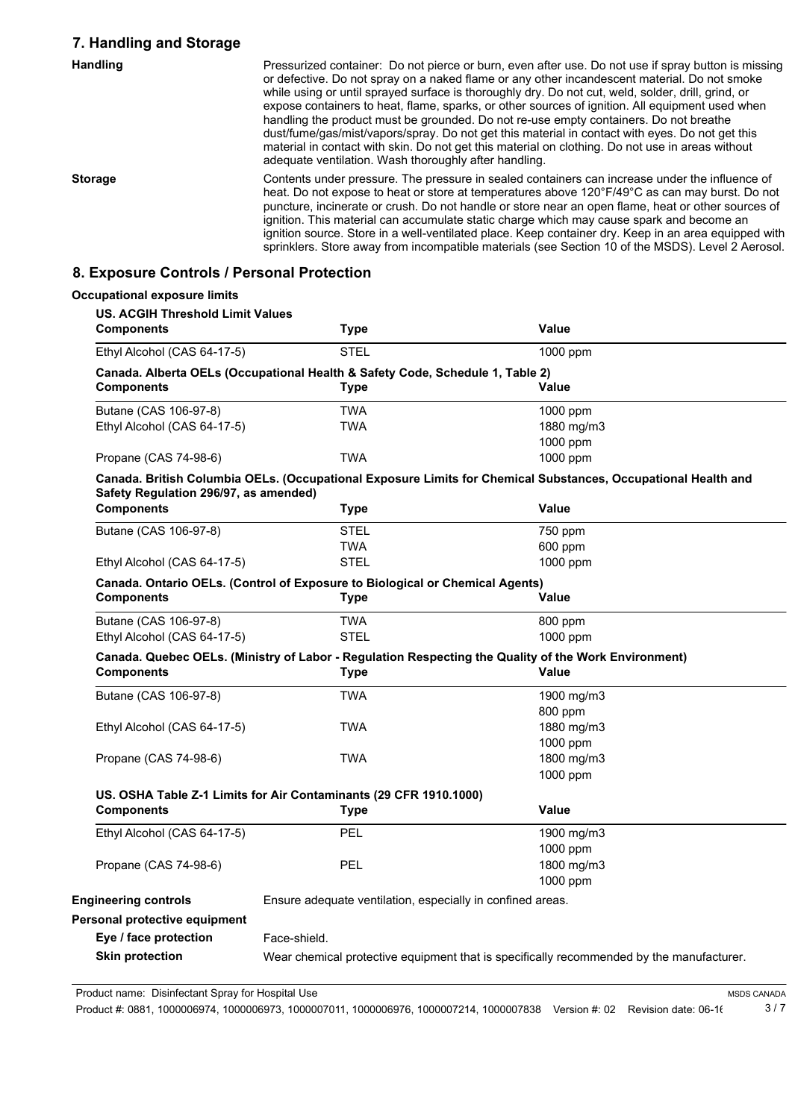### **7. Handling and Storage**

| <b>Handling</b> | Pressurized container: Do not pierce or burn, even after use. Do not use if spray button is missing<br>or defective. Do not spray on a naked flame or any other incandescent material. Do not smoke<br>while using or until sprayed surface is thoroughly dry. Do not cut, weld, solder, drill, grind, or<br>expose containers to heat, flame, sparks, or other sources of ignition. All equipment used when<br>handling the product must be grounded. Do not re-use empty containers. Do not breathe<br>dust/fume/gas/mist/vapors/spray. Do not get this material in contact with eyes. Do not get this<br>material in contact with skin. Do not get this material on clothing. Do not use in areas without<br>adequate ventilation. Wash thoroughly after handling. |
|-----------------|-----------------------------------------------------------------------------------------------------------------------------------------------------------------------------------------------------------------------------------------------------------------------------------------------------------------------------------------------------------------------------------------------------------------------------------------------------------------------------------------------------------------------------------------------------------------------------------------------------------------------------------------------------------------------------------------------------------------------------------------------------------------------|
| <b>Storage</b>  | Contents under pressure. The pressure in sealed containers can increase under the influence of<br>heat. Do not expose to heat or store at temperatures above 120°F/49°C as can may burst. Do not<br>puncture, incinerate or crush. Do not handle or store near an open flame, heat or other sources of<br>ignition. This material can accumulate static charge which may cause spark and become an<br>ignition source. Store in a well-ventilated place. Keep container dry. Keep in an area equipped with<br>sprinklers. Store away from incompatible materials (see Section 10 of the MSDS). Level 2 Aerosol.                                                                                                                                                       |

## **8. Exposure Controls / Personal Protection**

| <b>Components</b>                     | <b>US. ACGIH Threshold Limit Values</b><br><b>Type</b>                        | Value                                                                                                         |
|---------------------------------------|-------------------------------------------------------------------------------|---------------------------------------------------------------------------------------------------------------|
| Ethyl Alcohol (CAS 64-17-5)           | <b>STEL</b>                                                                   | 1000 ppm                                                                                                      |
|                                       | Canada. Alberta OELs (Occupational Health & Safety Code, Schedule 1, Table 2) |                                                                                                               |
| <b>Components</b>                     | <b>Type</b>                                                                   | Value                                                                                                         |
| Butane (CAS 106-97-8)                 | <b>TWA</b>                                                                    | 1000 ppm                                                                                                      |
| Ethyl Alcohol (CAS 64-17-5)           | <b>TWA</b>                                                                    | 1880 mg/m3                                                                                                    |
|                                       |                                                                               | 1000 ppm                                                                                                      |
| Propane (CAS 74-98-6)                 | <b>TWA</b>                                                                    | 1000 ppm                                                                                                      |
| Safety Regulation 296/97, as amended) |                                                                               | Canada. British Columbia OELs. (Occupational Exposure Limits for Chemical Substances, Occupational Health and |
| <b>Components</b>                     | <b>Type</b>                                                                   | Value                                                                                                         |
| Butane (CAS 106-97-8)                 | <b>STEL</b>                                                                   | 750 ppm                                                                                                       |
|                                       | <b>TWA</b>                                                                    | 600 ppm                                                                                                       |
| Ethyl Alcohol (CAS 64-17-5)           | <b>STEL</b>                                                                   | 1000 ppm                                                                                                      |
|                                       | Canada. Ontario OELs. (Control of Exposure to Biological or Chemical Agents)  |                                                                                                               |
| <b>Components</b>                     | <b>Type</b>                                                                   | <b>Value</b>                                                                                                  |
| Butane (CAS 106-97-8)                 | <b>TWA</b>                                                                    | 800 ppm                                                                                                       |
| Ethyl Alcohol (CAS 64-17-5)           | <b>STEL</b>                                                                   | 1000 ppm                                                                                                      |
|                                       |                                                                               | Canada. Quebec OELs. (Ministry of Labor - Regulation Respecting the Quality of the Work Environment)          |
| <b>Components</b>                     | <b>Type</b>                                                                   | Value                                                                                                         |
| Butane (CAS 106-97-8)                 | <b>TWA</b>                                                                    | 1900 mg/m3                                                                                                    |
|                                       |                                                                               | 800 ppm                                                                                                       |
| Ethyl Alcohol (CAS 64-17-5)           | <b>TWA</b>                                                                    | 1880 mg/m3                                                                                                    |
|                                       |                                                                               | 1000 ppm                                                                                                      |
| Propane (CAS 74-98-6)                 | <b>TWA</b>                                                                    | 1800 mg/m3                                                                                                    |
|                                       |                                                                               | 1000 ppm                                                                                                      |
|                                       | US. OSHA Table Z-1 Limits for Air Contaminants (29 CFR 1910.1000)             |                                                                                                               |
| <b>Components</b>                     | <b>Type</b>                                                                   | Value                                                                                                         |
| Ethyl Alcohol (CAS 64-17-5)           | PEL                                                                           | 1900 mg/m3                                                                                                    |
|                                       |                                                                               | 1000 ppm                                                                                                      |
| Propane (CAS 74-98-6)                 | <b>PEL</b>                                                                    | 1800 mg/m3                                                                                                    |
|                                       |                                                                               | 1000 ppm                                                                                                      |
| <b>Engineering controls</b>           | Ensure adequate ventilation, especially in confined areas.                    |                                                                                                               |
| Personal protective equipment         |                                                                               |                                                                                                               |
| Eye / face protection                 | Face-shield.                                                                  |                                                                                                               |
| <b>Skin protection</b>                |                                                                               | Wear chemical protective equipment that is specifically recommended by the manufacturer.                      |

Product name: Disinfectant Spray for Hospital Use

Product #: 0881, 1000006974, 1000006973, 1000007011, 1000006976, 1000007214, 1000007838 Version #: 02 Revision date: 06-16 3 / 7

MSDS CANADA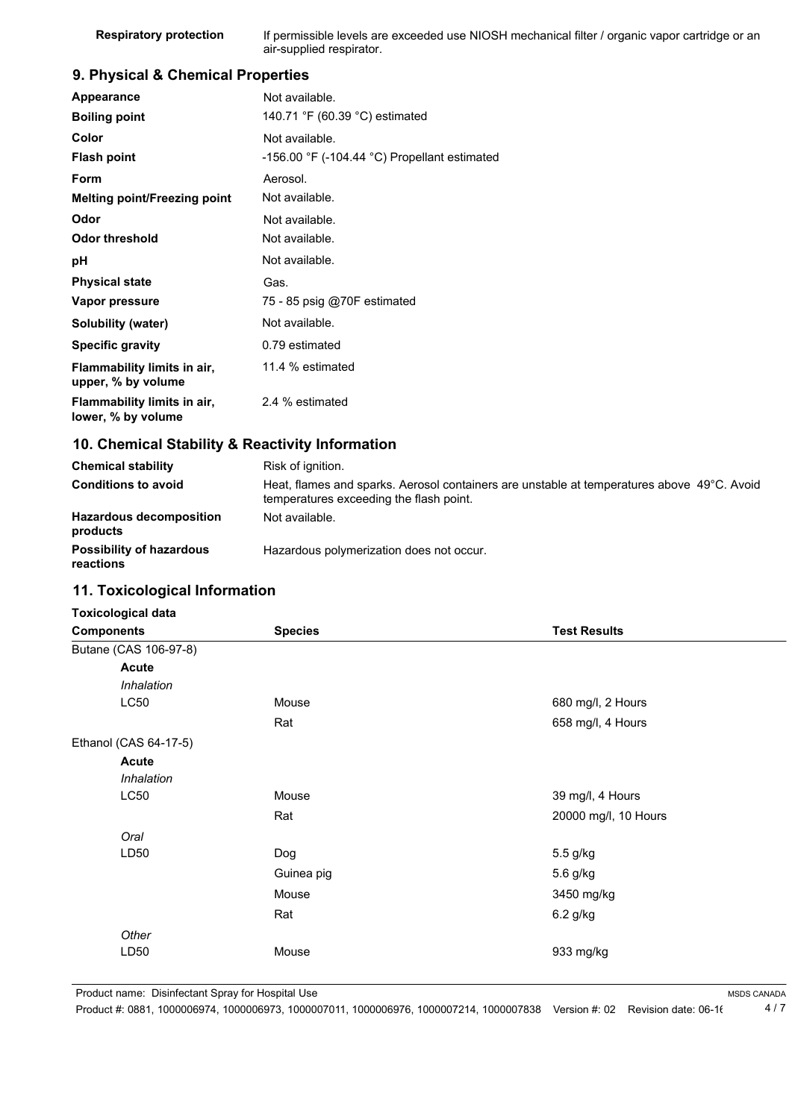| <b>Respiratory protection</b> | If permissible levels are exceeded use NIOSH mechanical filter / organic vapor cartridge or an |
|-------------------------------|------------------------------------------------------------------------------------------------|
|                               | air-supplied respirator.                                                                       |

## **9. Physical & Chemical Properties**

| Appearance                                        | Not available.                                                 |
|---------------------------------------------------|----------------------------------------------------------------|
| <b>Boiling point</b>                              | 140.71 °F (60.39 °C) estimated                                 |
| Color                                             | Not available.                                                 |
| <b>Flash point</b>                                | -156.00 $\degree$ F (-104.44 $\degree$ C) Propellant estimated |
| Form                                              | Aerosol.                                                       |
| Melting point/Freezing point                      | Not available.                                                 |
| Odor                                              | Not available.                                                 |
| Odor threshold                                    | Not available.                                                 |
| рH                                                | Not available.                                                 |
| <b>Physical state</b>                             | Gas.                                                           |
| Vapor pressure                                    | 75 - 85 psig @70F estimated                                    |
| Solubility (water)                                | Not available.                                                 |
| <b>Specific gravity</b>                           | 0.79 estimated                                                 |
| Flammability limits in air,<br>upper, % by volume | 11.4 % estimated                                               |
| Flammability limits in air,<br>lower, % by volume | 2.4 % estimated                                                |

### **10. Chemical Stability & Reactivity Information**

| <b>Chemical stability</b>                    | Risk of ignition.                                                                                                                     |
|----------------------------------------------|---------------------------------------------------------------------------------------------------------------------------------------|
| <b>Conditions to avoid</b>                   | Heat, flames and sparks. Aerosol containers are unstable at temperatures above 49°C. Avoid<br>temperatures exceeding the flash point. |
| <b>Hazardous decomposition</b><br>products   | Not available.                                                                                                                        |
| <b>Possibility of hazardous</b><br>reactions | Hazardous polymerization does not occur.                                                                                              |

## **11. Toxicological Information**

| <b>Components</b> |                       | <b>Species</b> | <b>Test Results</b>  |
|-------------------|-----------------------|----------------|----------------------|
|                   | Butane (CAS 106-97-8) |                |                      |
|                   | <b>Acute</b>          |                |                      |
|                   | Inhalation            |                |                      |
|                   | <b>LC50</b>           | Mouse          | 680 mg/l, 2 Hours    |
|                   |                       | Rat            | 658 mg/l, 4 Hours    |
|                   | Ethanol (CAS 64-17-5) |                |                      |
|                   | <b>Acute</b>          |                |                      |
|                   | Inhalation            |                |                      |
|                   | <b>LC50</b>           | Mouse          | 39 mg/l, 4 Hours     |
|                   |                       | Rat            | 20000 mg/l, 10 Hours |
|                   | Oral                  |                |                      |
|                   | LD50                  | Dog            | 5.5 g/kg             |
|                   |                       | Guinea pig     | 5.6 g/kg             |
|                   |                       | Mouse          | 3450 mg/kg           |
|                   |                       | Rat            | 6.2 g/kg             |
|                   | Other                 |                |                      |
|                   | LD50                  | Mouse          | 933 mg/kg            |

Product name: Disinfectant Spray for Hospital Use

Product #: 0881, 1000006974, 1000006973, 1000007011, 1000006976, 1000007214, 1000007838 Version #: 02 Revision date: 06-16 4 / 7

MSDS CANADA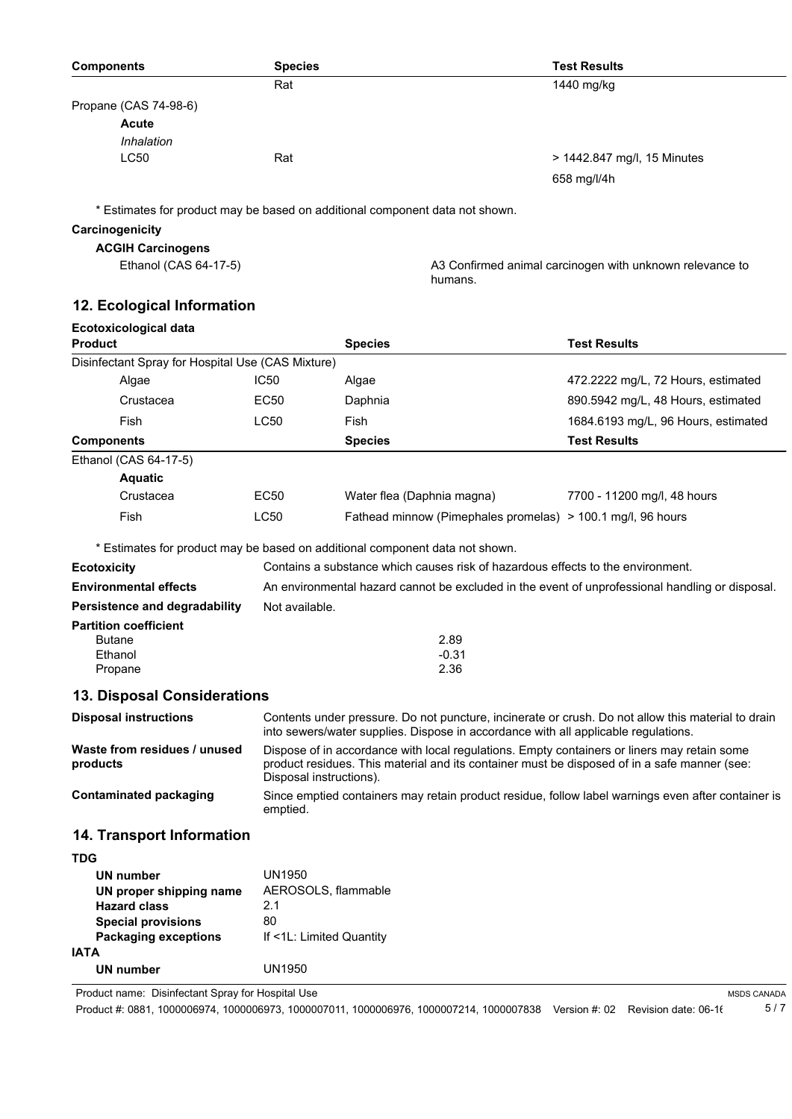| <b>Species</b> | <b>Test Results</b>         |
|----------------|-----------------------------|
| Rat            | 1440 mg/kg                  |
|                |                             |
|                |                             |
|                |                             |
| Rat            | > 1442.847 mg/l, 15 Minutes |
|                | 658 mg/l/4h                 |
|                |                             |

\* Estimates for product may be based on additional component data not shown.

#### **Carcinogenicity**

# **ACGIH Carcinogens**

Ethanol (CAS 64-17-5) **A3 Confirmed animal carcinogen with unknown relevance to** humans.

MSDS CANADA

## **12. Ecological Information**

| <b>Ecotoxicological data</b>                             |                                                                                                                                                                                                                        |                                                                              |                                     |
|----------------------------------------------------------|------------------------------------------------------------------------------------------------------------------------------------------------------------------------------------------------------------------------|------------------------------------------------------------------------------|-------------------------------------|
| <b>Product</b>                                           |                                                                                                                                                                                                                        | <b>Species</b>                                                               | <b>Test Results</b>                 |
| Disinfectant Spray for Hospital Use (CAS Mixture)        |                                                                                                                                                                                                                        |                                                                              |                                     |
| Algae                                                    | <b>IC50</b>                                                                                                                                                                                                            | Algae                                                                        | 472.2222 mg/L, 72 Hours, estimated  |
| Crustacea                                                | EC50                                                                                                                                                                                                                   | Daphnia                                                                      | 890.5942 mg/L, 48 Hours, estimated  |
| Fish                                                     | <b>LC50</b>                                                                                                                                                                                                            | Fish                                                                         | 1684.6193 mg/L, 96 Hours, estimated |
| <b>Components</b>                                        |                                                                                                                                                                                                                        | <b>Species</b>                                                               | <b>Test Results</b>                 |
| Ethanol (CAS 64-17-5)                                    |                                                                                                                                                                                                                        |                                                                              |                                     |
| <b>Aquatic</b>                                           |                                                                                                                                                                                                                        |                                                                              |                                     |
| Crustacea                                                | EC50                                                                                                                                                                                                                   | Water flea (Daphnia magna)                                                   | 7700 - 11200 mg/l, 48 hours         |
| Fish                                                     | <b>LC50</b>                                                                                                                                                                                                            | Fathead minnow (Pimephales promelas) > 100.1 mg/l, 96 hours                  |                                     |
|                                                          |                                                                                                                                                                                                                        | * Estimates for product may be based on additional component data not shown. |                                     |
| <b>Ecotoxicity</b>                                       | Contains a substance which causes risk of hazardous effects to the environment.                                                                                                                                        |                                                                              |                                     |
| <b>Environmental effects</b>                             | An environmental hazard cannot be excluded in the event of unprofessional handling or disposal.                                                                                                                        |                                                                              |                                     |
| Persistence and degradability                            | Not available.                                                                                                                                                                                                         |                                                                              |                                     |
| <b>Partition coefficient</b>                             |                                                                                                                                                                                                                        |                                                                              |                                     |
| <b>Butane</b>                                            |                                                                                                                                                                                                                        | 2.89                                                                         |                                     |
| Ethanol<br>Propane                                       |                                                                                                                                                                                                                        | $-0.31$<br>2.36                                                              |                                     |
|                                                          |                                                                                                                                                                                                                        |                                                                              |                                     |
| <b>13. Disposal Considerations</b>                       |                                                                                                                                                                                                                        |                                                                              |                                     |
| <b>Disposal instructions</b>                             | Contents under pressure. Do not puncture, incinerate or crush. Do not allow this material to drain<br>into sewers/water supplies. Dispose in accordance with all applicable regulations.                               |                                                                              |                                     |
| Waste from residues / unused<br>products                 | Dispose of in accordance with local regulations. Empty containers or liners may retain some<br>product residues. This material and its container must be disposed of in a safe manner (see:<br>Disposal instructions). |                                                                              |                                     |
| <b>Contaminated packaging</b>                            | Since emptied containers may retain product residue, follow label warnings even after container is<br>emptied.                                                                                                         |                                                                              |                                     |
| 14. Transport Information                                |                                                                                                                                                                                                                        |                                                                              |                                     |
| <b>TDG</b>                                               |                                                                                                                                                                                                                        |                                                                              |                                     |
| <b>UN number</b>                                         | <b>UN1950</b>                                                                                                                                                                                                          |                                                                              |                                     |
| UN proper shipping name                                  | AEROSOLS, flammable                                                                                                                                                                                                    |                                                                              |                                     |
| <b>Hazard class</b>                                      | 2.1                                                                                                                                                                                                                    |                                                                              |                                     |
| <b>Special provisions</b><br><b>Packaging exceptions</b> | 80<br>If <1L: Limited Quantity                                                                                                                                                                                         |                                                                              |                                     |
|                                                          |                                                                                                                                                                                                                        |                                                                              |                                     |

Product name: Disinfectant Spray for Hospital Use

**UN number** UN1950

**IATA**

Product #: 0881, 1000006974, 1000006973, 1000007011, 1000006976, 1000007214, 1000007838 Version #: 02 Revision date: 06-16 5 / 7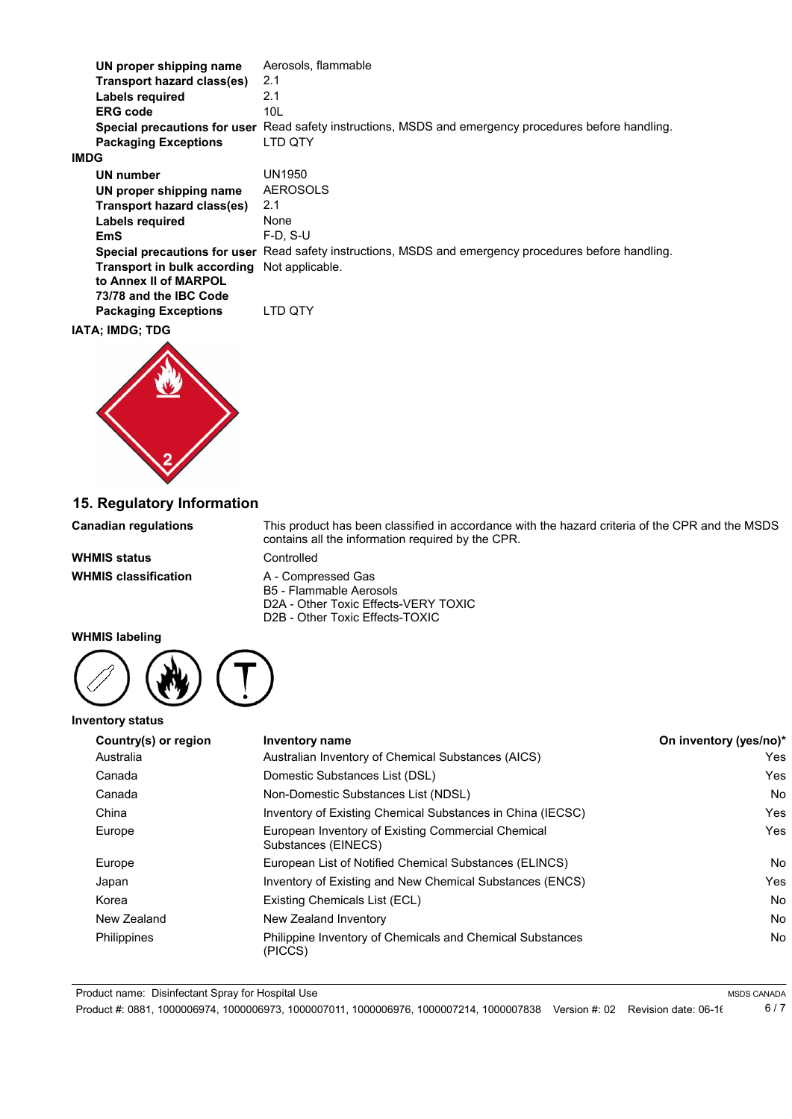| UN proper shipping name      | Aerosols, flammable                                                                                   |
|------------------------------|-------------------------------------------------------------------------------------------------------|
| Transport hazard class(es)   | 2.1                                                                                                   |
| Labels required              | 2.1                                                                                                   |
| <b>ERG</b> code              | 10L                                                                                                   |
| Special precautions for user | Read safety instructions, MSDS and emergency procedures before handling.                              |
| <b>Packaging Exceptions</b>  | LTD QTY                                                                                               |
| <b>IMDG</b>                  |                                                                                                       |
| UN number                    | UN1950                                                                                                |
| UN proper shipping name      | <b>AEROSOLS</b>                                                                                       |
| Transport hazard class(es)   | 2.1                                                                                                   |
| Labels required              | None                                                                                                  |
| EmS                          | $F-D. S-U$                                                                                            |
|                              | Special precautions for user Read safety instructions, MSDS and emergency procedures before handling. |
| Transport in bulk according  | Not applicable.                                                                                       |
| to Annex II of MARPOL        |                                                                                                       |
| 73/78 and the IBC Code       |                                                                                                       |
| <b>Packaging Exceptions</b>  | LTD OTY                                                                                               |

#### **IATA; IMDG; TDG**



**15. Regulatory Information**

**WHMIS status** Controlled **WHMIS classification** A - Compressed Gas

**Canadian regulations** This product has been classified in accordance with the hazard criteria of the CPR and the MSDS contains all the information required by the CPR.

> B5 - Flammable Aerosols D2A - Other Toxic Effects-VERY TOXIC D2B - Other Toxic Effects-TOXIC

#### **WHMIS labeling**

**Inventory status**



| Country(s) or region | <b>Inventory name</b>                                                     | On inventory (yes/no)* |
|----------------------|---------------------------------------------------------------------------|------------------------|
| Australia            | Australian Inventory of Chemical Substances (AICS)                        | Yes                    |
| Canada               | Domestic Substances List (DSL)                                            | Yes                    |
| Canada               | Non-Domestic Substances List (NDSL)                                       | <b>No</b>              |
| China                | Inventory of Existing Chemical Substances in China (IECSC)                | Yes                    |
| Europe               | European Inventory of Existing Commercial Chemical<br>Substances (EINECS) | Yes                    |
| Europe               | European List of Notified Chemical Substances (ELINCS)                    | No                     |
| Japan                | Inventory of Existing and New Chemical Substances (ENCS)                  | Yes                    |
| Korea                | Existing Chemicals List (ECL)                                             | <b>No</b>              |
| New Zealand          | New Zealand Inventory                                                     | <b>No</b>              |
| Philippines          | Philippine Inventory of Chemicals and Chemical Substances<br>(PICCS)      | No                     |

Product name: Disinfectant Spray for Hospital Use

Product #: 0881, 1000006974, 1000006973, 1000007011, 1000006976, 1000007214, 1000007838 Version #: 02 Revision date: 06-16 6 / 7

MSDS CANADA